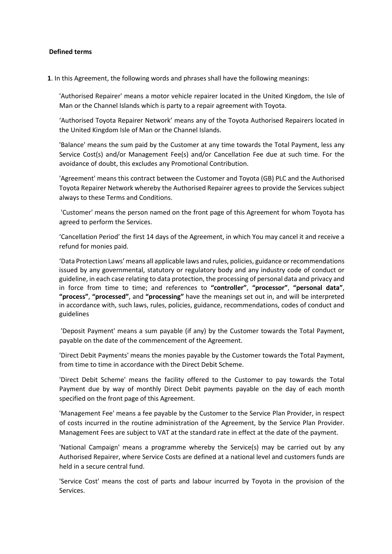#### **Defined terms**

**1**. In this Agreement, the following words and phrases shall have the following meanings:

'Authorised Repairer' means a motor vehicle repairer located in the United Kingdom, the Isle of Man or the Channel Islands which is party to a repair agreement with Toyota.

'Authorised Toyota Repairer Network' means any of the Toyota Authorised Repairers located in the United Kingdom Isle of Man or the Channel Islands.

'Balance' means the sum paid by the Customer at any time towards the Total Payment, less any Service Cost(s) and/or Management Fee(s) and/or Cancellation Fee due at such time. For the avoidance of doubt, this excludes any Promotional Contribution.

'Agreement' means this contract between the Customer and Toyota (GB) PLC and the Authorised Toyota Repairer Network whereby the Authorised Repairer agrees to provide the Services subject always to these Terms and Conditions.

'Customer' means the person named on the front page of this Agreement for whom Toyota has agreed to perform the Services.

'Cancellation Period' the first 14 days of the Agreement, in which You may cancel it and receive a refund for monies paid.

'Data Protection Laws' means all applicable laws and rules, policies, guidance or recommendations issued by any governmental, statutory or regulatory body and any industry code of conduct or guideline, in each case relating to data protection, the processing of personal data and privacy and in force from time to time; and references to **"controller"**, **"processor"**, **"personal data"**, **"process"**, **"processed"**, and **"processing"** have the meanings set out in, and will be interpreted in accordance with, such laws, rules, policies, guidance, recommendations, codes of conduct and guidelines

'Deposit Payment' means a sum payable (if any) by the Customer towards the Total Payment, payable on the date of the commencement of the Agreement.

'Direct Debit Payments' means the monies payable by the Customer towards the Total Payment, from time to time in accordance with the Direct Debit Scheme.

'Direct Debit Scheme' means the facility offered to the Customer to pay towards the Total Payment due by way of monthly Direct Debit payments payable on the day of each month specified on the front page of this Agreement.

'Management Fee' means a fee payable by the Customer to the Service Plan Provider, in respect of costs incurred in the routine administration of the Agreement, by the Service Plan Provider. Management Fees are subject to VAT at the standard rate in effect at the date of the payment.

'National Campaign' means a programme whereby the Service(s) may be carried out by any Authorised Repairer, where Service Costs are defined at a national level and customers funds are held in a secure central fund.

'Service Cost' means the cost of parts and labour incurred by Toyota in the provision of the Services.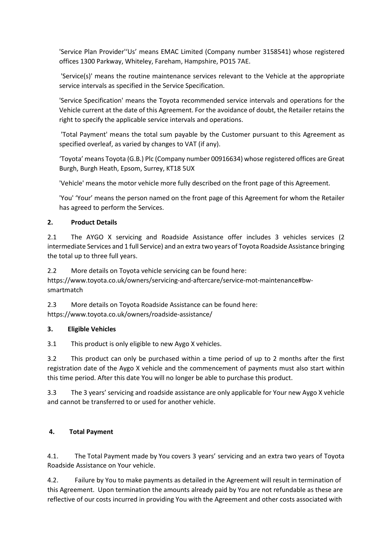'Service Plan Provider''Us' means EMAC Limited (Company number 3158541) whose registered offices 1300 Parkway, Whiteley, Fareham, Hampshire, PO15 7AE.

'Service(s)' means the routine maintenance services relevant to the Vehicle at the appropriate service intervals as specified in the Service Specification.

'Service Specification' means the Toyota recommended service intervals and operations for the Vehicle current at the date of this Agreement. For the avoidance of doubt, the Retailer retains the right to specify the applicable service intervals and operations.

'Total Payment' means the total sum payable by the Customer pursuant to this Agreement as specified overleaf, as varied by changes to VAT (if any).

'Toyota' means Toyota (G.B.) Plc (Company number 00916634) whose registered offices are Great Burgh, Burgh Heath, Epsom, Surrey, KT18 5UX

'Vehicle' means the motor vehicle more fully described on the front page of this Agreement.

'You' 'Your' means the person named on the front page of this Agreement for whom the Retailer has agreed to perform the Services.

### **2. Product Details**

2.1 The AYGO X servicing and Roadside Assistance offer includes 3 vehicles services (2 intermediate Services and 1 full Service) and an extra two years of Toyota Roadside Assistance bringing the total up to three full years.

2.2 More details on Toyota vehicle servicing can be found here:

https://www.toyota.co.uk/owners/servicing-and-aftercare/service-mot-maintenance#bwsmartmatch

2.3 More details on Toyota Roadside Assistance can be found here: https://www.toyota.co.uk/owners/roadside-assistance/

### **3. Eligible Vehicles**

3.1 This product is only eligible to new Aygo X vehicles.

3.2 This product can only be purchased within a time period of up to 2 months after the first registration date of the Aygo X vehicle and the commencement of payments must also start within this time period. After this date You will no longer be able to purchase this product.

3.3 The 3 years' servicing and roadside assistance are only applicable for Your new Aygo X vehicle and cannot be transferred to or used for another vehicle.

# **4. Total Payment**

4.1. The Total Payment made by You covers 3 years' servicing and an extra two years of Toyota Roadside Assistance on Your vehicle.

4.2. Failure by You to make payments as detailed in the Agreement will result in termination of this Agreement. Upon termination the amounts already paid by You are not refundable as these are reflective of our costs incurred in providing You with the Agreement and other costs associated with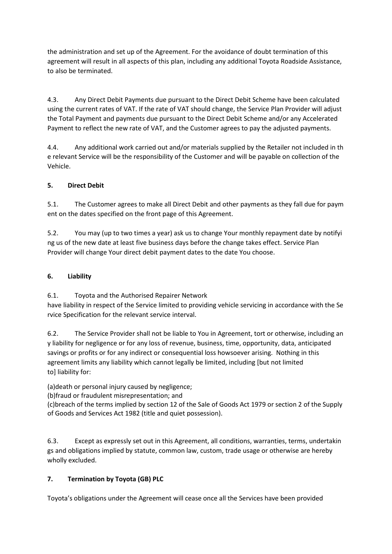the administration and set up of the Agreement. For the avoidance of doubt termination of this agreement will result in all aspects of this plan, including any additional Toyota Roadside Assistance, to also be terminated.

4.3. Any Direct Debit Payments due pursuant to the Direct Debit Scheme have been calculated using the current rates of VAT. If the rate of VAT should change, the Service Plan Provider will adjust the Total Payment and payments due pursuant to the Direct Debit Scheme and/or any Accelerated Payment to reflect the new rate of VAT, and the Customer agrees to pay the adjusted payments.

4.4. Any additional work carried out and/or materials supplied by the Retailer not included in th e relevant Service will be the responsibility of the Customer and will be payable on collection of the Vehicle.

# **5. Direct Debit**

5.1. The Customer agrees to make all Direct Debit and other payments as they fall due for paym ent on the dates specified on the front page of this Agreement.

5.2. You may (up to two times a year) ask us to change Your monthly repayment date by notifyi ng us of the new date at least five business days before the change takes effect. Service Plan Provider will change Your direct debit payment dates to the date You choose.

# **6. Liability**

6.1. Toyota and the Authorised Repairer Network

have liability in respect of the Service limited to providing vehicle servicing in accordance with the Se rvice Specification for the relevant service interval.

6.2. The Service Provider shall not be liable to You in Agreement, tort or otherwise, including an y liability for negligence or for any loss of revenue, business, time, opportunity, data, anticipated savings or profits or for any indirect or consequential loss howsoever arising. Nothing in this agreement limits any liability which cannot legally be limited, including [but not limited to] liability for:

(a)death or personal injury caused by negligence;

(b)fraud or fraudulent misrepresentation; and

(c)breach of the terms implied by section 12 of the Sale of Goods Act 1979 or section 2 of the Supply of Goods and Services Act 1982 (title and quiet possession).

6.3. Except as expressly set out in this Agreement, all conditions, warranties, terms, undertakin gs and obligations implied by statute, common law, custom, trade usage or otherwise are hereby wholly excluded.

# **7. Termination by Toyota (GB) PLC**

Toyota's obligations under the Agreement will cease once all the Services have been provided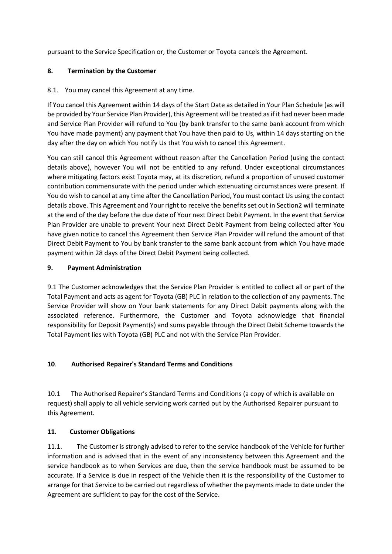pursuant to the Service Specification or, the Customer or Toyota cancels the Agreement.

### **8. Termination by the Customer**

8.1. You may cancel this Agreement at any time.

If You cancel this Agreement within 14 days of the Start Date as detailed in Your Plan Schedule (as will be provided by Your Service Plan Provider), this Agreement will be treated as if it had never been made and Service Plan Provider will refund to You (by bank transfer to the same bank account from which You have made payment) any payment that You have then paid to Us, within 14 days starting on the day after the day on which You notify Us that You wish to cancel this Agreement.

You can still cancel this Agreement without reason after the Cancellation Period (using the contact details above), however You will not be entitled to any refund. Under exceptional circumstances where mitigating factors exist Toyota may, at its discretion, refund a proportion of unused customer contribution commensurate with the period under which extenuating circumstances were present. If You do wish to cancel at any time after the Cancellation Period, You must contact Us using the contact details above. This Agreement and Your right to receive the benefits set out in Section2 will terminate at the end of the day before the due date of Your next Direct Debit Payment. In the event that Service Plan Provider are unable to prevent Your next Direct Debit Payment from being collected after You have given notice to cancel this Agreement then Service Plan Provider will refund the amount of that Direct Debit Payment to You by bank transfer to the same bank account from which You have made payment within 28 days of the Direct Debit Payment being collected.

### **9. Payment Administration**

9.1 The Customer acknowledges that the Service Plan Provider is entitled to collect all or part of the Total Payment and acts as agent for Toyota (GB) PLC in relation to the collection of any payments. The Service Provider will show on Your bank statements for any Direct Debit payments along with the associated reference. Furthermore, the Customer and Toyota acknowledge that financial responsibility for Deposit Payment(s) and sums payable through the Direct Debit Scheme towards the Total Payment lies with Toyota (GB) PLC and not with the Service Plan Provider.

### **10**. **Authorised Repairer's Standard Terms and Conditions**

10.1 The Authorised Repairer's Standard Terms and Conditions (a copy of which is available on request) shall apply to all vehicle servicing work carried out by the Authorised Repairer pursuant to this Agreement.

### **11. Customer Obligations**

11.1. The Customer is strongly advised to refer to the service handbook of the Vehicle for further information and is advised that in the event of any inconsistency between this Agreement and the service handbook as to when Services are due, then the service handbook must be assumed to be accurate. If a Service is due in respect of the Vehicle then it is the responsibility of the Customer to arrange for that Service to be carried out regardless of whether the payments made to date under the Agreement are sufficient to pay for the cost of the Service.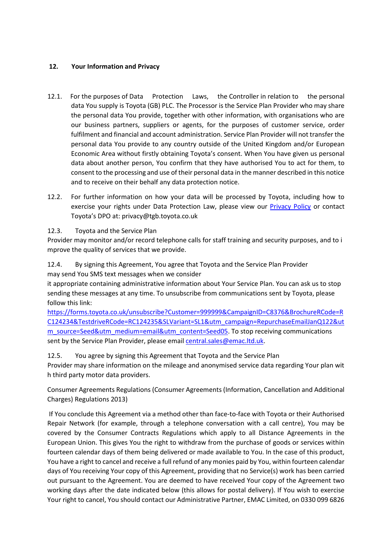### **12. Your Information and Privacy**

- 12.1. For the purposes of Data Protection Laws, the Controller in relation to the personal data You supply is Toyota (GB) PLC. The Processor is the Service Plan Provider who may share the personal data You provide, together with other information, with organisations who are our business partners, suppliers or agents, for the purposes of customer service, order fulfilment and financial and account administration. Service Plan Provider will not transfer the personal data You provide to any country outside of the United Kingdom and/or European Economic Area without firstly obtaining Toyota's consent. When You have given us personal data about another person, You confirm that they have authorised You to act for them, to consent to the processing and use of their personal data in the manner described in this notice and to receive on their behalf any data protection notice.
- 12.2. For further information on how your data will be processed by Toyota, including how to exercise your rights under Data Protection Law, please view our [Privacy Policy](https://www.toyota.co.uk/footer/privacy-policy) or contact Toyota's DPO at: privacy@tgb.toyota.co.uk

12.3. Toyota and the Service Plan

Provider may monitor and/or record telephone calls for staff training and security purposes, and to i mprove the quality of services that we provide.

12.4. By signing this Agreement, You agree that Toyota and the Service Plan Provider may send You SMS text messages when we consider

it appropriate containing administrative information about Your Service Plan. You can ask us to stop sending these messages at any time. To unsubscribe from communications sent by Toyota, please follow this link:

[https://forms.toyota.co.uk/unsubscribe?Customer=999999&CampaignID=C8376&BrochureRCode=R](https://forms.toyota.co.uk/unsubscribe?Customer=999999&CampaignID=C8376&BrochureRCode=RC124234&TestdriveRCode=RC124235&SLVariant=SL1&utm_campaign=RepurchaseEmailJanQ122&utm_source=Seed&utm_medium=email&utm_content=Seed05) [C124234&TestdriveRCode=RC124235&SLVariant=SL1&utm\\_campaign=RepurchaseEmailJanQ122&ut](https://forms.toyota.co.uk/unsubscribe?Customer=999999&CampaignID=C8376&BrochureRCode=RC124234&TestdriveRCode=RC124235&SLVariant=SL1&utm_campaign=RepurchaseEmailJanQ122&utm_source=Seed&utm_medium=email&utm_content=Seed05) [m\\_source=Seed&utm\\_medium=email&utm\\_content=Seed05.](https://forms.toyota.co.uk/unsubscribe?Customer=999999&CampaignID=C8376&BrochureRCode=RC124234&TestdriveRCode=RC124235&SLVariant=SL1&utm_campaign=RepurchaseEmailJanQ122&utm_source=Seed&utm_medium=email&utm_content=Seed05) To stop receiving communications sent by the Service Plan Provider, please email [central.sales@emac.ltd.uk.](mailto:central.sales@emac.ltd.uk)

12.5. You agree by signing this Agreement that Toyota and the Service Plan Provider may share information on the mileage and anonymised service data regarding Your plan wit h third party motor data providers.

Consumer Agreements Regulations (Consumer Agreements (Information, Cancellation and Additional Charges) Regulations 2013)

If You conclude this Agreement via a method other than face-to-face with Toyota or their Authorised Repair Network (for example, through a telephone conversation with a call centre), You may be covered by the Consumer Contracts Regulations which apply to all Distance Agreements in the European Union. This gives You the right to withdraw from the purchase of goods or services within fourteen calendar days of them being delivered or made available to You. In the case of this product, You have a right to cancel and receive a full refund of any monies paid by You, within fourteen calendar days of You receiving Your copy of this Agreement, providing that no Service(s) work has been carried out pursuant to the Agreement. You are deemed to have received Your copy of the Agreement two working days after the date indicated below (this allows for postal delivery). If You wish to exercise Your right to cancel, You should contact our Administrative Partner, EMAC Limited, on 0330 099 6826